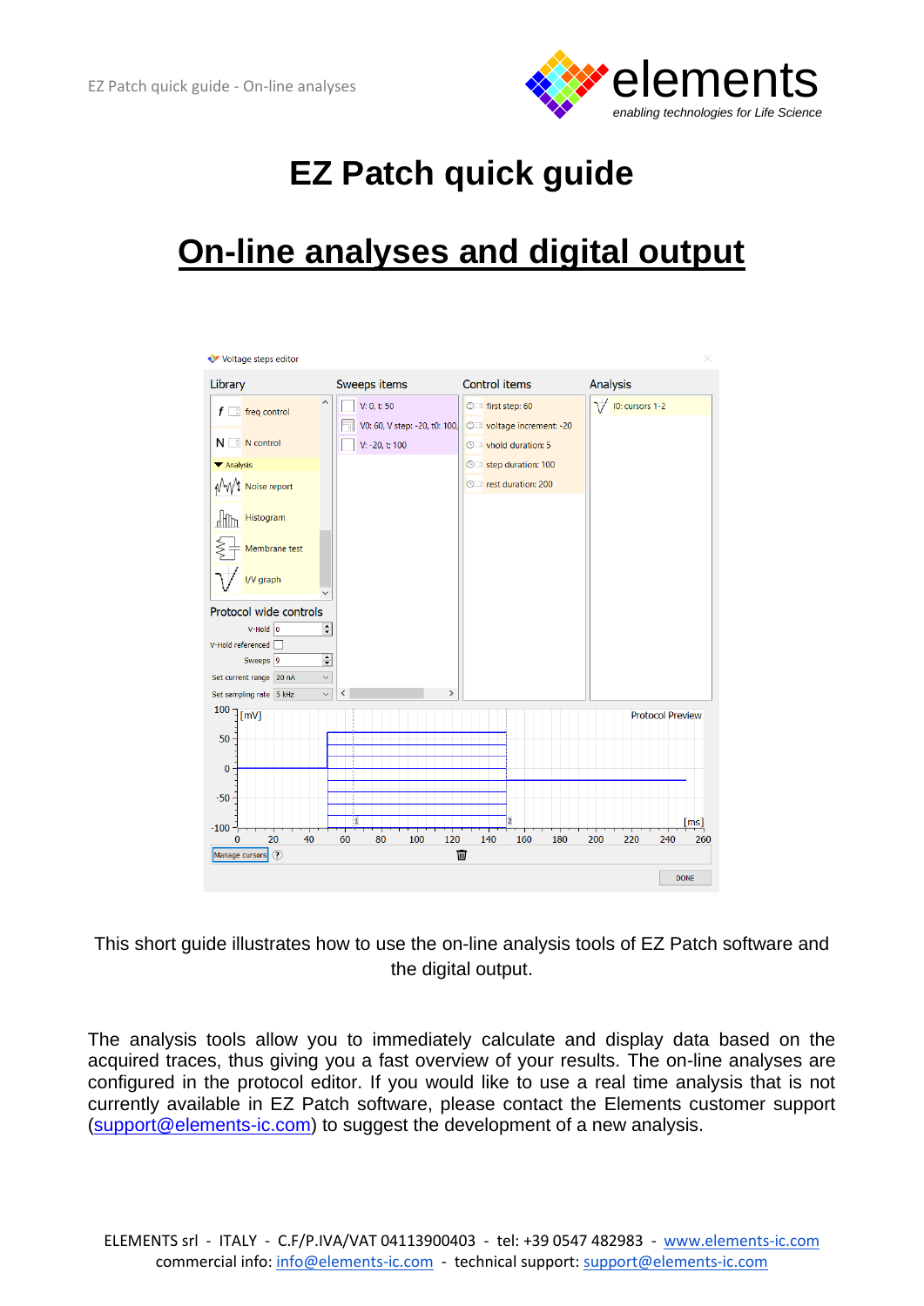

## **EZ Patch quick guide**

## **On-line analyses and digital output**



This short guide illustrates how to use the on-line analysis tools of EZ Patch software and the digital output.

The analysis tools allow you to immediately calculate and display data based on the acquired traces, thus giving you a fast overview of your results. The on-line analyses are configured in the protocol editor. If you would like to use a real time analysis that is not currently available in EZ Patch software, please contact the Elements customer support [\(support@elements-ic.com\)](mailto:support@elements-ic.com) to suggest the development of a new analysis.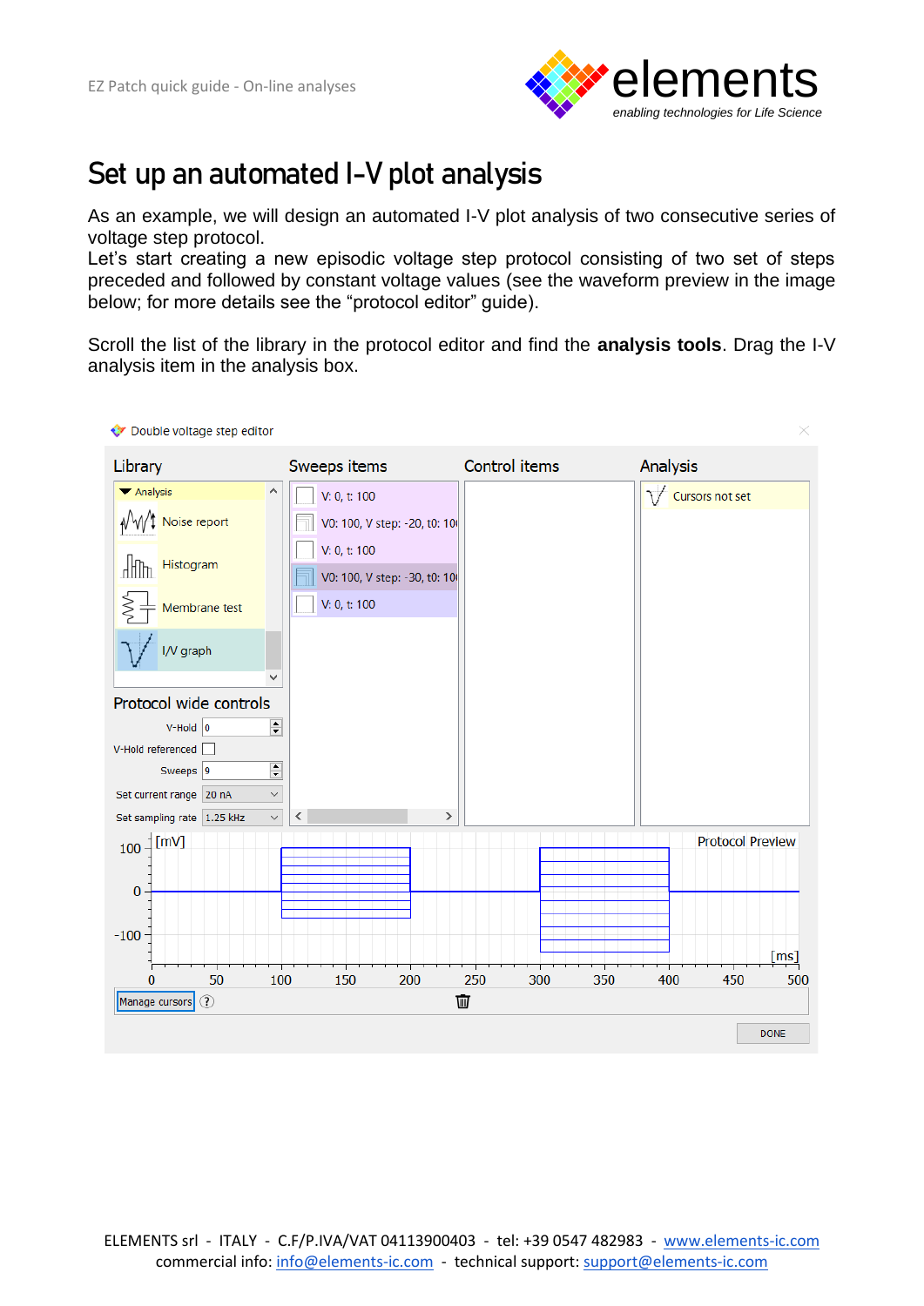

## **Set up an automated I-V plot analysis**

As an example, we will design an automated I-V plot analysis of two consecutive series of voltage step protocol.

Let's start creating a new episodic voltage step protocol consisting of two set of steps preceded and followed by constant voltage values (see the waveform preview in the image below; for more details see the "protocol editor" guide).

Scroll the list of the library in the protocol editor and find the **analysis tools**. Drag the I-V analysis item in the analysis box.

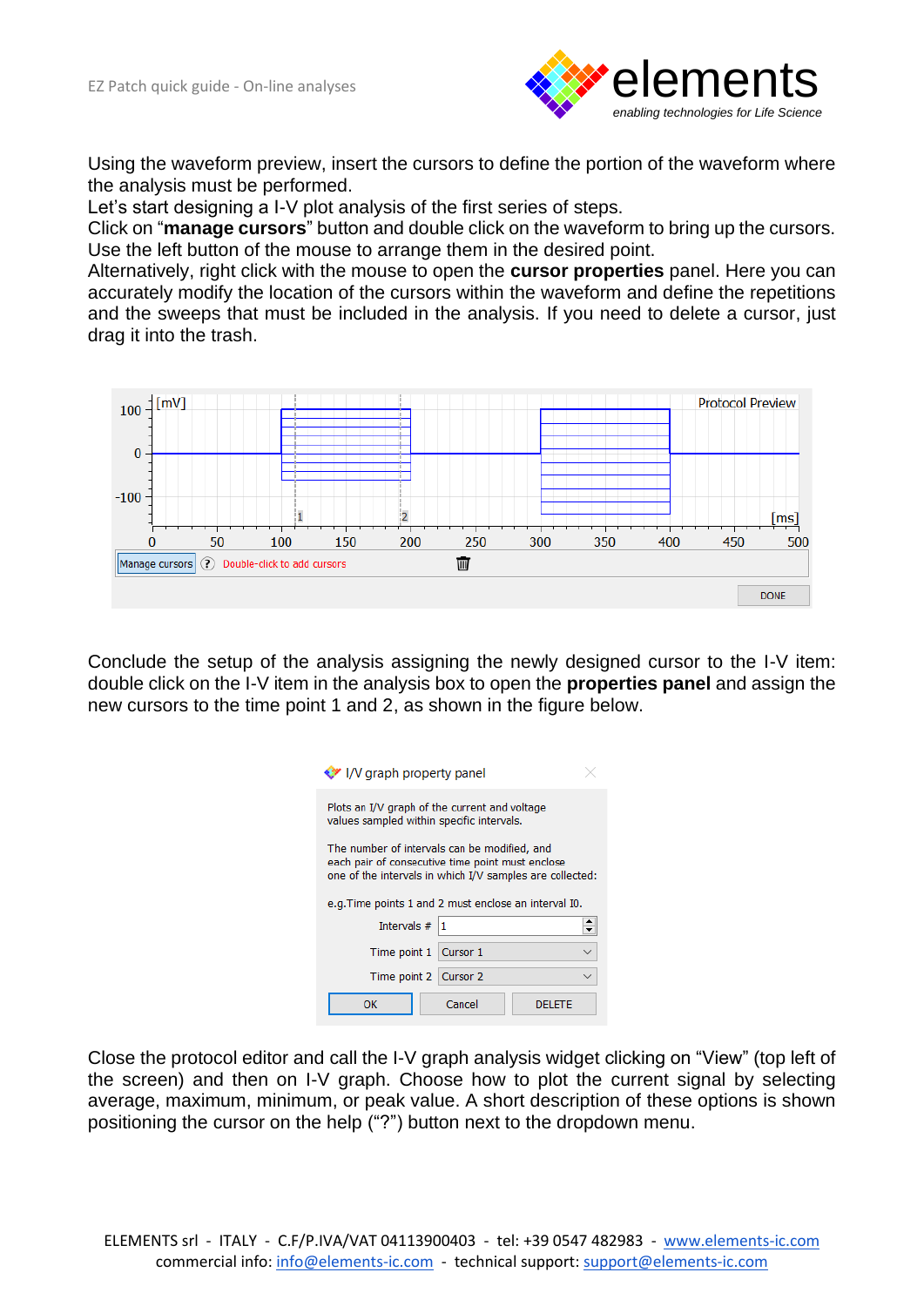

Using the waveform preview, insert the cursors to define the portion of the waveform where the analysis must be performed.

Let's start designing a I-V plot analysis of the first series of steps.

Click on "**manage cursors**" button and double click on the waveform to bring up the cursors. Use the left button of the mouse to arrange them in the desired point.

Alternatively, right click with the mouse to open the **cursor properties** panel. Here you can accurately modify the location of the cursors within the waveform and define the repetitions and the sweeps that must be included in the analysis. If you need to delete a cursor, just drag it into the trash.



Conclude the setup of the analysis assigning the newly designed cursor to the I-V item: double click on the I-V item in the analysis box to open the **properties panel** and assign the new cursors to the time point 1 and 2, as shown in the figure below.

| V I/V graph property panel                                                                                                                                   |                         |  |
|--------------------------------------------------------------------------------------------------------------------------------------------------------------|-------------------------|--|
| Plots an I/V graph of the current and voltage<br>values sampled within specific intervals.                                                                   |                         |  |
| The number of intervals can be modified, and<br>each pair of consecutive time point must enclose<br>one of the intervals in which I/V samples are collected: |                         |  |
| e.g. Time points 1 and 2 must enclose an interval I0.                                                                                                        |                         |  |
| Intervals $#$  1                                                                                                                                             |                         |  |
|                                                                                                                                                              |                         |  |
|                                                                                                                                                              | Time point 1   Cursor 1 |  |
|                                                                                                                                                              | Time point 2   Cursor 2 |  |

Close the protocol editor and call the I-V graph analysis widget clicking on "View" (top left of the screen) and then on I-V graph. Choose how to plot the current signal by selecting average, maximum, minimum, or peak value. A short description of these options is shown positioning the cursor on the help ("?") button next to the dropdown menu.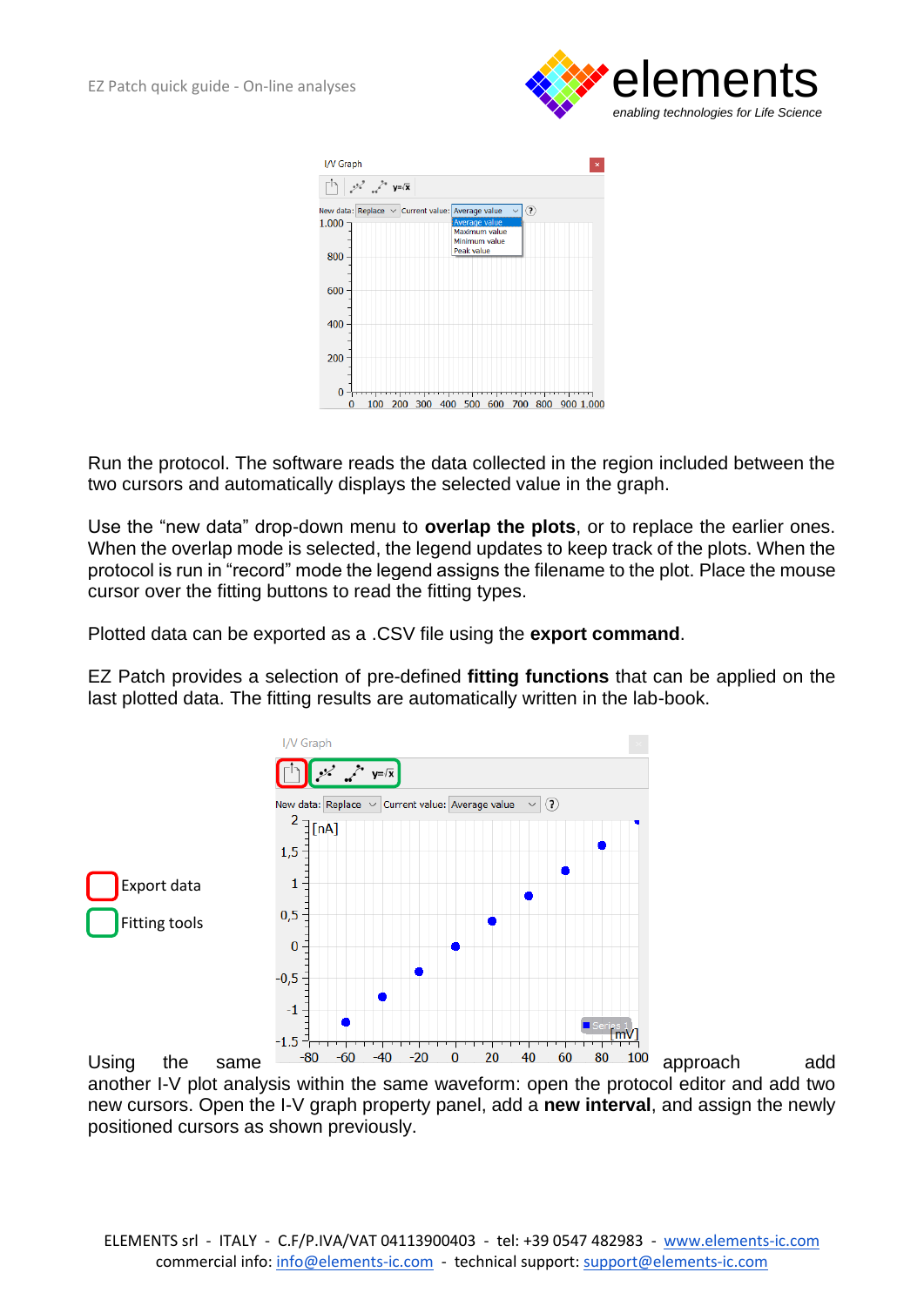



Run the protocol. The software reads the data collected in the region included between the two cursors and automatically displays the selected value in the graph.

Use the "new data" drop-down menu to **overlap the plots**, or to replace the earlier ones. When the overlap mode is selected, the legend updates to keep track of the plots. When the protocol is run in "record" mode the legend assigns the filename to the plot. Place the mouse cursor over the fitting buttons to read the fitting types.

Plotted data can be exported as a .CSV file using the **export command**.

EZ Patch provides a selection of pre-defined **fitting functions** that can be applied on the last plotted data. The fitting results are automatically written in the lab-book.



Using the same  $\frac{1-80}{-60}$   $\frac{-40}{-40}$   $\frac{-20}{-60}$   $\frac{20}{-40}$   $\frac{40}{-60}$   $\frac{80}{-100}$  approach add another I-V plot analysis within the same waveform: open the protocol editor and add two new cursors. Open the I-V graph property panel, add a **new interval**, and assign the newly positioned cursors as shown previously.